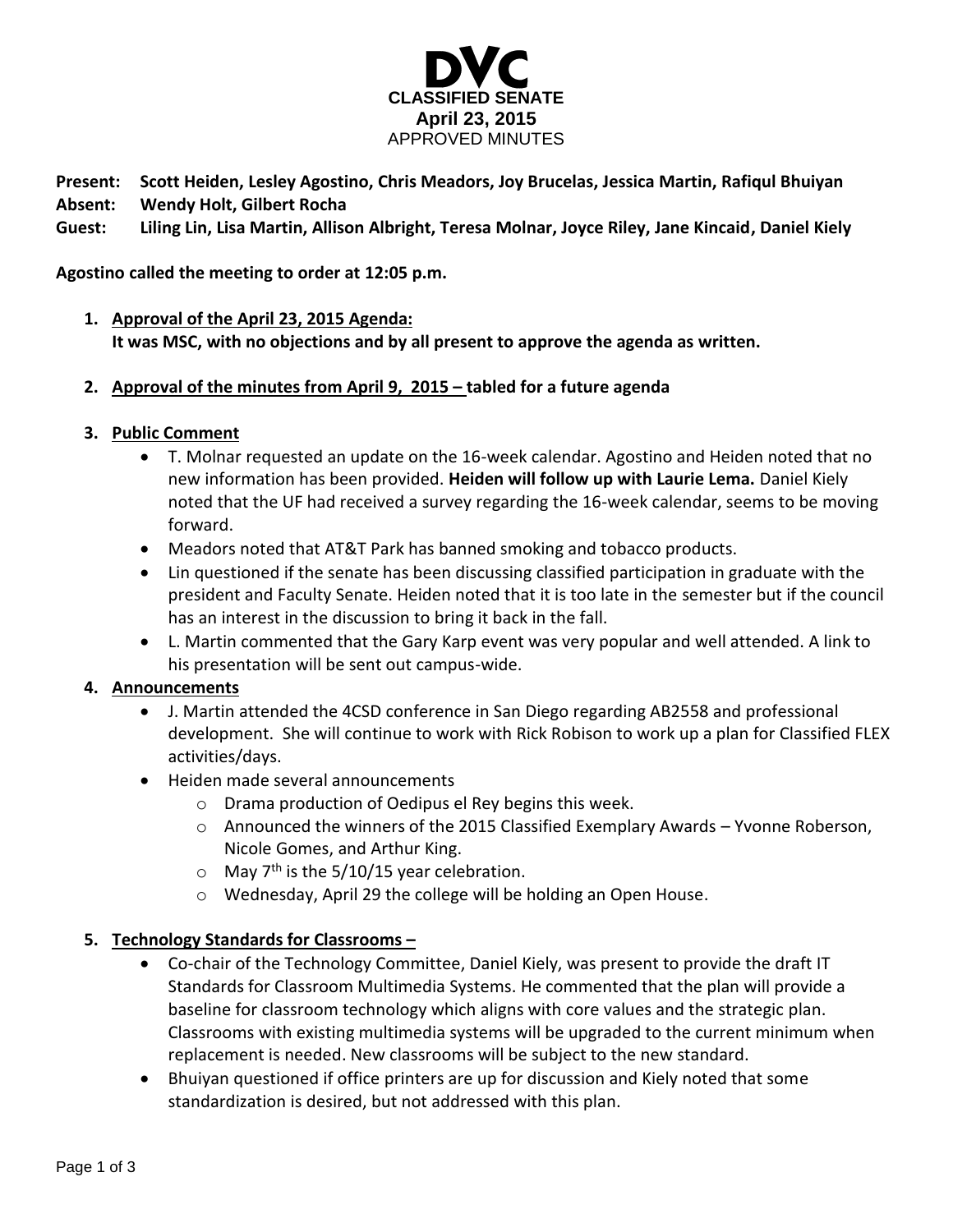

**Present: Scott Heiden, Lesley Agostino, Chris Meadors, Joy Brucelas, Jessica Martin, Rafiqul Bhuiyan Absent: Wendy Holt, Gilbert Rocha**

**Guest: Liling Lin, Lisa Martin, Allison Albright, Teresa Molnar, Joyce Riley, Jane Kincaid, Daniel Kiely**

# **Agostino called the meeting to order at 12:05 p.m.**

- **1. Approval of the April 23, 2015 Agenda: It was MSC, with no objections and by all present to approve the agenda as written.**
- **2. Approval of the minutes from April 9, 2015 – tabled for a future agenda**
- **3. Public Comment**
	- T. Molnar requested an update on the 16-week calendar. Agostino and Heiden noted that no new information has been provided. **Heiden will follow up with Laurie Lema.** Daniel Kiely noted that the UF had received a survey regarding the 16-week calendar, seems to be moving forward.
	- Meadors noted that AT&T Park has banned smoking and tobacco products.
	- Lin questioned if the senate has been discussing classified participation in graduate with the president and Faculty Senate. Heiden noted that it is too late in the semester but if the council has an interest in the discussion to bring it back in the fall.
	- L. Martin commented that the Gary Karp event was very popular and well attended. A link to his presentation will be sent out campus-wide.

## **4. Announcements**

- J. Martin attended the 4CSD conference in San Diego regarding AB2558 and professional development. She will continue to work with Rick Robison to work up a plan for Classified FLEX activities/days.
- Heiden made several announcements
	- o Drama production of Oedipus el Rey begins this week.
	- $\circ$  Announced the winners of the 2015 Classified Exemplary Awards Yvonne Roberson, Nicole Gomes, and Arthur King.
	- $\circ$  May 7<sup>th</sup> is the 5/10/15 year celebration.
	- o Wednesday, April 29 the college will be holding an Open House.

## **5. Technology Standards for Classrooms –**

- Co-chair of the Technology Committee, Daniel Kiely, was present to provide the draft IT Standards for Classroom Multimedia Systems. He commented that the plan will provide a baseline for classroom technology which aligns with core values and the strategic plan. Classrooms with existing multimedia systems will be upgraded to the current minimum when replacement is needed. New classrooms will be subject to the new standard.
- Bhuiyan questioned if office printers are up for discussion and Kiely noted that some standardization is desired, but not addressed with this plan.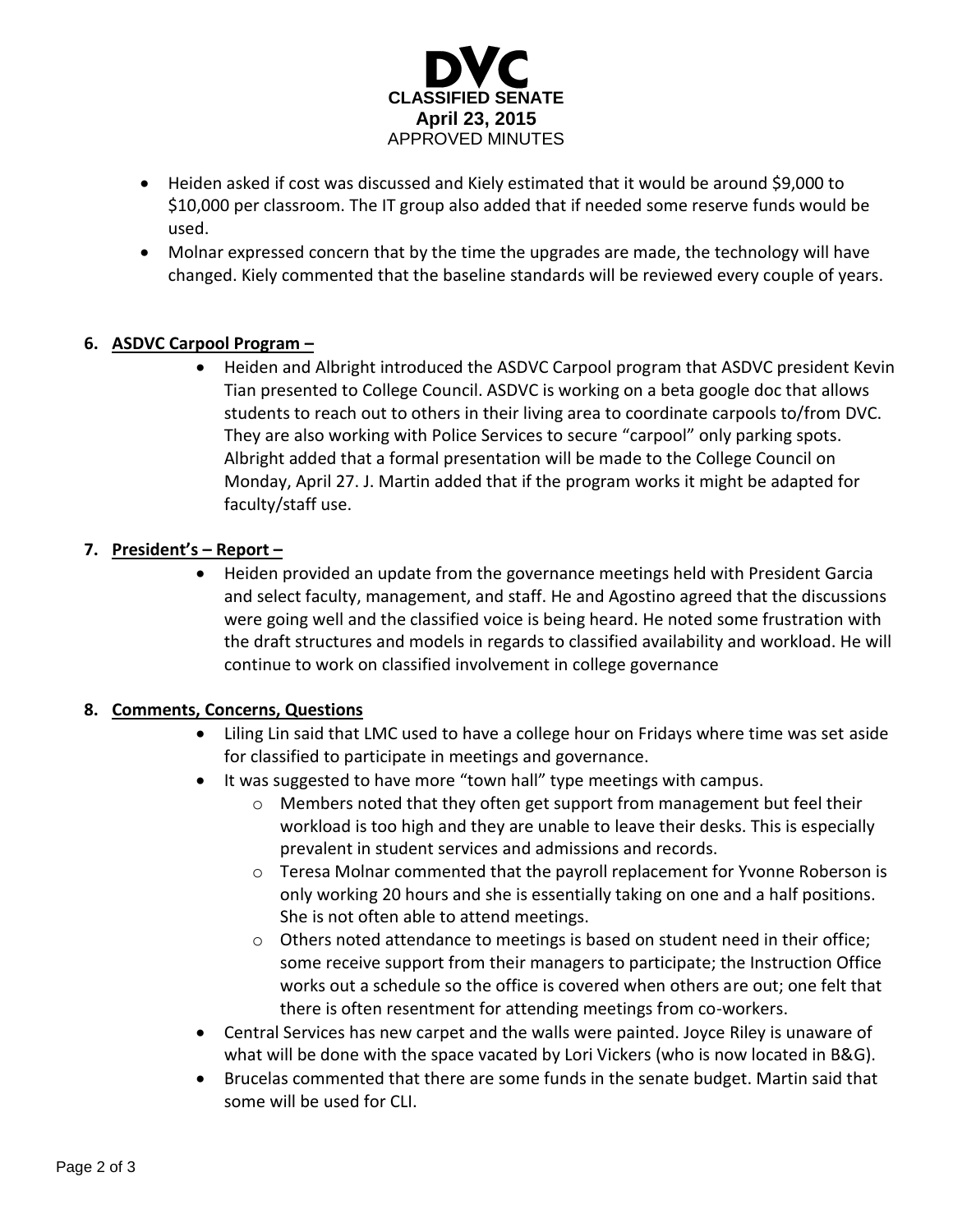

- Heiden asked if cost was discussed and Kiely estimated that it would be around \$9,000 to \$10,000 per classroom. The IT group also added that if needed some reserve funds would be used.
- Molnar expressed concern that by the time the upgrades are made, the technology will have changed. Kiely commented that the baseline standards will be reviewed every couple of years.

# **6. ASDVC Carpool Program –**

 Heiden and Albright introduced the ASDVC Carpool program that ASDVC president Kevin Tian presented to College Council. ASDVC is working on a beta google doc that allows students to reach out to others in their living area to coordinate carpools to/from DVC. They are also working with Police Services to secure "carpool" only parking spots. Albright added that a formal presentation will be made to the College Council on Monday, April 27. J. Martin added that if the program works it might be adapted for faculty/staff use.

# **7. President's – Report –**

 Heiden provided an update from the governance meetings held with President Garcia and select faculty, management, and staff. He and Agostino agreed that the discussions were going well and the classified voice is being heard. He noted some frustration with the draft structures and models in regards to classified availability and workload. He will continue to work on classified involvement in college governance

## **8. Comments, Concerns, Questions**

- Liling Lin said that LMC used to have a college hour on Fridays where time was set aside for classified to participate in meetings and governance.
- It was suggested to have more "town hall" type meetings with campus.
	- o Members noted that they often get support from management but feel their workload is too high and they are unable to leave their desks. This is especially prevalent in student services and admissions and records.
	- o Teresa Molnar commented that the payroll replacement for Yvonne Roberson is only working 20 hours and she is essentially taking on one and a half positions. She is not often able to attend meetings.
	- o Others noted attendance to meetings is based on student need in their office; some receive support from their managers to participate; the Instruction Office works out a schedule so the office is covered when others are out; one felt that there is often resentment for attending meetings from co-workers.
- Central Services has new carpet and the walls were painted. Joyce Riley is unaware of what will be done with the space vacated by Lori Vickers (who is now located in B&G).
- Brucelas commented that there are some funds in the senate budget. Martin said that some will be used for CLI.